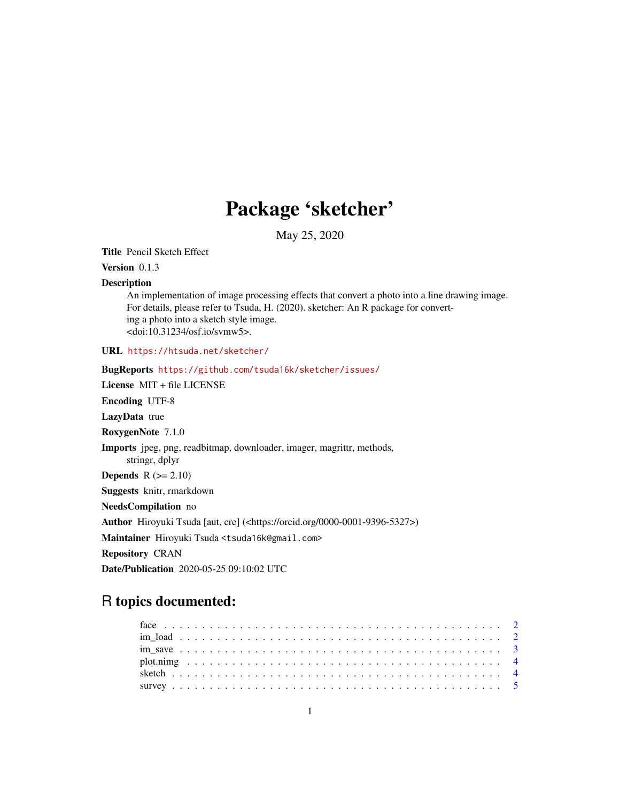## Package 'sketcher'

May 25, 2020

Title Pencil Sketch Effect

Version 0.1.3

#### **Description**

An implementation of image processing effects that convert a photo into a line drawing image. For details, please refer to Tsuda, H. (2020). sketcher: An R package for converting a photo into a sketch style image. <doi:10.31234/osf.io/svmw5>.

URL <https://htsuda.net/sketcher/>

BugReports <https://github.com/tsuda16k/sketcher/issues/> License MIT + file LICENSE Encoding UTF-8 LazyData true RoxygenNote 7.1.0 Imports jpeg, png, readbitmap, downloader, imager, magrittr, methods, stringr, dplyr Depends  $R$  ( $>= 2.10$ ) Suggests knitr, rmarkdown NeedsCompilation no Author Hiroyuki Tsuda [aut, cre] (<https://orcid.org/0000-0001-9396-5327>) Maintainer Hiroyuki Tsuda <tsuda16k@gmail.com> Repository CRAN Date/Publication 2020-05-25 09:10:02 UTC

### R topics documented: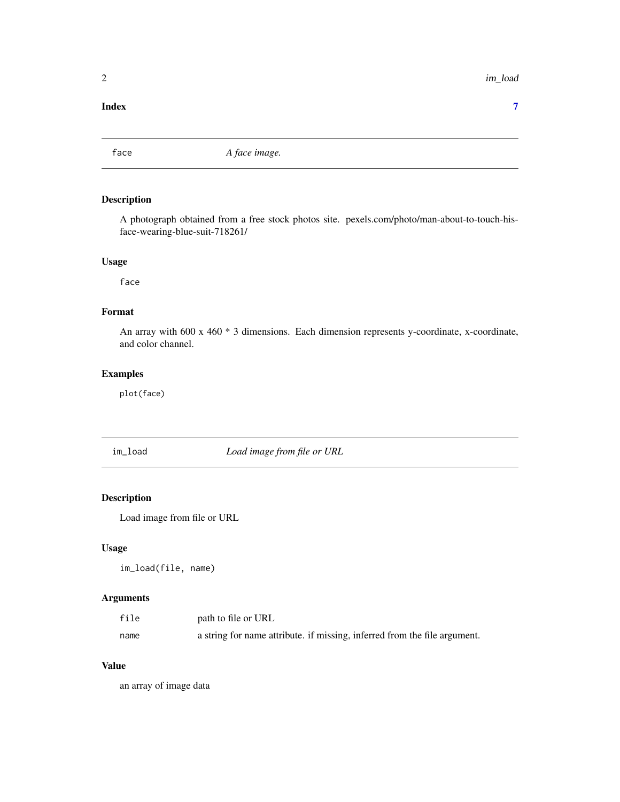#### <span id="page-1-0"></span>**Index** [7](#page-6-0) **7**

#### Description

A photograph obtained from a free stock photos site. pexels.com/photo/man-about-to-touch-hisface-wearing-blue-suit-718261/

#### Usage

face

#### Format

An array with 600 x 460 \* 3 dimensions. Each dimension represents y-coordinate, x-coordinate, and color channel.

#### Examples

plot(face)

im\_load *Load image from file or URL*

#### Description

Load image from file or URL

#### Usage

im\_load(file, name)

#### Arguments

| file | path to file or URL                                                       |
|------|---------------------------------------------------------------------------|
| name | a string for name attribute. if missing, inferred from the file argument. |

#### Value

an array of image data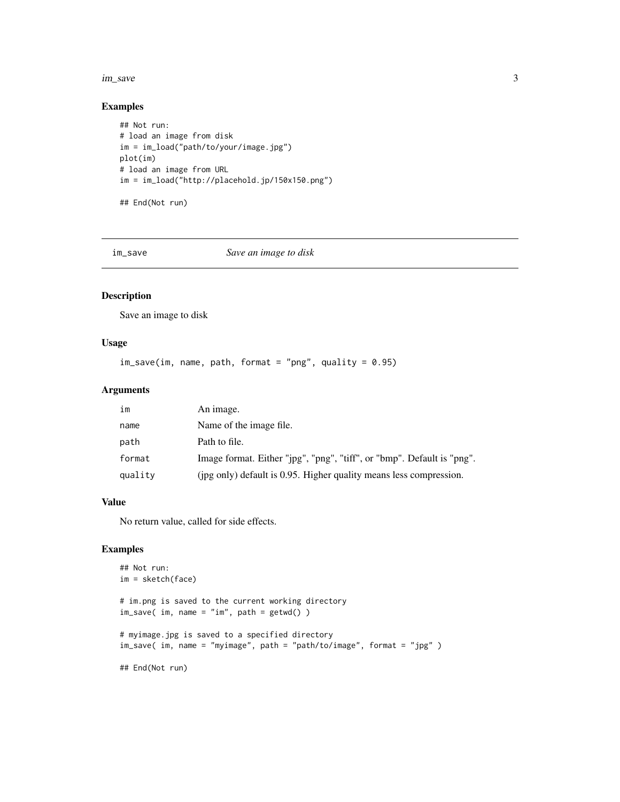#### <span id="page-2-0"></span>im\_save 3

#### Examples

```
## Not run:
# load an image from disk
im = im_load("path/to/your/image.jpg")
plot(im)
# load an image from URL
im = im_load("http://placehold.jp/150x150.png")
```
## End(Not run)

im\_save *Save an image to disk*

#### Description

Save an image to disk

#### Usage

 $im\_save(im, name, path, format = "png", quality = 0.95)$ 

#### Arguments

| im      | An image.                                                              |
|---------|------------------------------------------------------------------------|
| name    | Name of the image file.                                                |
| path    | Path to file.                                                          |
| format  | Image format. Either "jpg", "png", "tiff", or "bmp". Default is "png". |
| quality | (ipg only) default is 0.95. Higher quality means less compression.     |

#### Value

No return value, called for side effects.

#### Examples

```
## Not run:
im = sketch(face)
# im.png is saved to the current working directory
im_save( im, name = "im", path = getwd() )
# myimage.jpg is saved to a specified directory
im_save( im, name = "myimage", path = "path/to/image", format = "jpg" )
## End(Not run)
```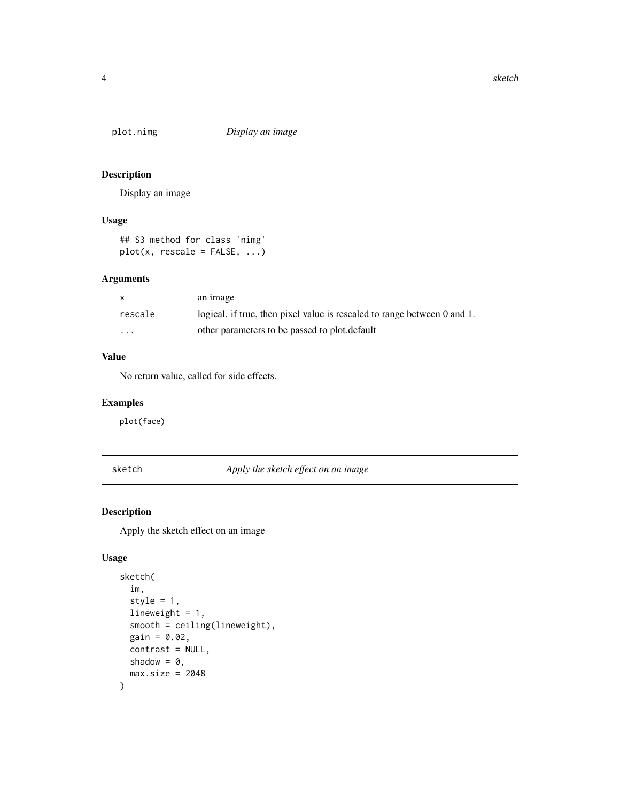<span id="page-3-0"></span>

#### Description

Display an image

#### Usage

```
## S3 method for class 'nimg'
plot(x, rescale = FALSE, ...)
```
#### Arguments

| $\mathsf{x}$            | an image                                                                 |
|-------------------------|--------------------------------------------------------------------------|
| rescale                 | logical. if true, then pixel value is rescaled to range between 0 and 1. |
| $\cdot$ $\cdot$ $\cdot$ | other parameters to be passed to plot. default                           |

#### Value

No return value, called for side effects.

#### Examples

plot(face)

sketch *Apply the sketch effect on an image*

#### Description

Apply the sketch effect on an image

#### Usage

```
sketch(
  im,
  style = 1,
 lineweight = 1,
  smooth = ceiling(lineweight),
 gain = 0.02,contrast = NULL,
 shadow = 0,max.size = 2048\mathcal{L}
```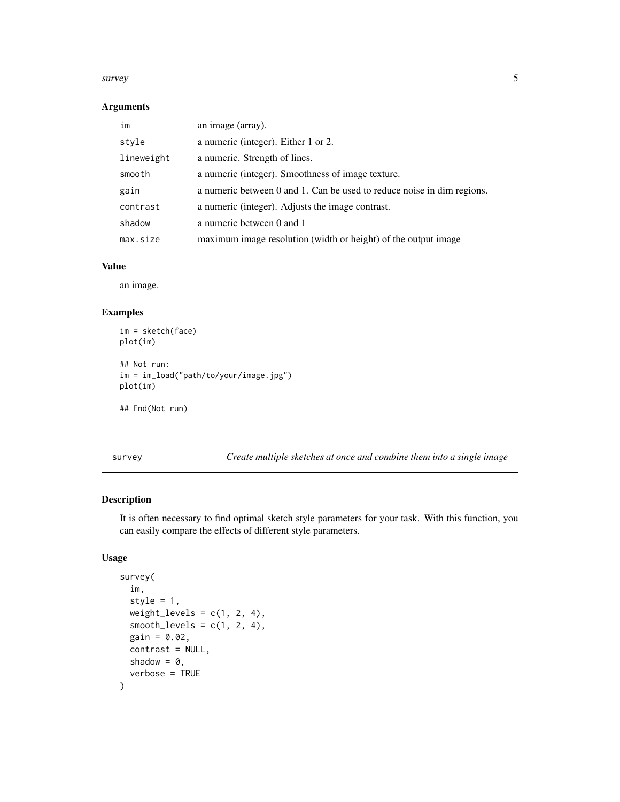#### <span id="page-4-0"></span>survey 50 and 50 and 50 and 50 and 50 and 50 and 50 and 50 and 50 and 50 and 50 and 50 and 50 and 50 and 50 and 50 and 50 and 50 and 50 and 50 and 50 and 50 and 50 and 50 and 50 and 50 and 50 and 50 and 50 and 50 and 50 an

#### Arguments

| im         | an image (array).                                                      |
|------------|------------------------------------------------------------------------|
| style      | a numeric (integer). Either 1 or 2.                                    |
| lineweight | a numeric. Strength of lines.                                          |
| smooth     | a numeric (integer). Smoothness of image texture.                      |
| gain       | a numeric between 0 and 1. Can be used to reduce noise in dim regions. |
| contrast   | a numeric (integer). Adjusts the image contrast.                       |
| shadow     | a numeric between 0 and 1                                              |
| max.size   | maximum image resolution (width or height) of the output image         |

#### Value

an image.

#### Examples

```
im = sketch(face)
plot(im)
## Not run:
im = im_load("path/to/your/image.jpg")
plot(im)
## End(Not run)
```
survey *Create multiple sketches at once and combine them into a single image*

#### Description

It is often necessary to find optimal sketch style parameters for your task. With this function, you can easily compare the effects of different style parameters.

#### Usage

```
survey(
  im,
  style = 1,
 weight_levels = c(1, 2, 4),
  smooth\_levels = c(1, 2, 4),gain = 0.02,
  contrast = NULL,
  shadow = 0,verbose = TRUE
\mathcal{E}
```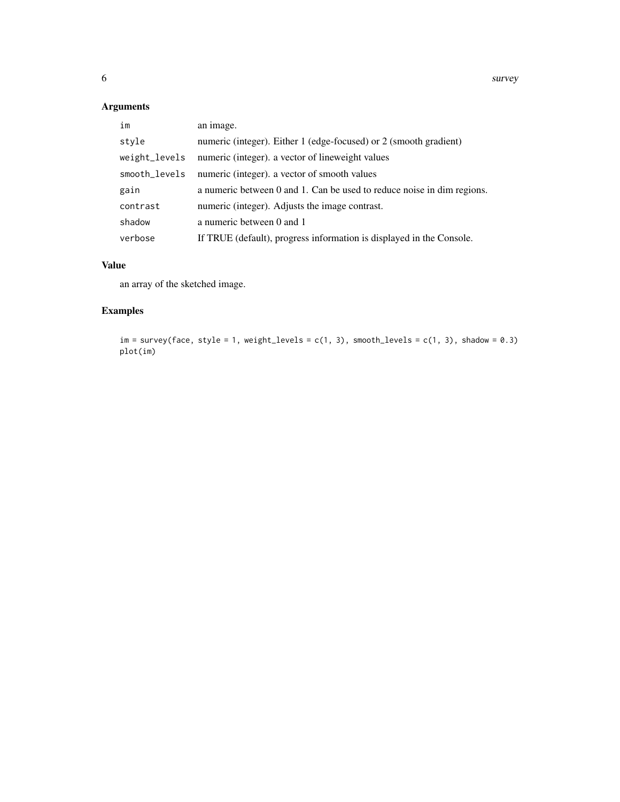#### Arguments

| im            | an image.                                                              |
|---------------|------------------------------------------------------------------------|
| style         | numeric (integer). Either 1 (edge-focused) or 2 (smooth gradient)      |
| weight_levels | numeric (integer). a vector of lineweight values                       |
| smooth_levels | numeric (integer). a vector of smooth values                           |
| gain          | a numeric between 0 and 1. Can be used to reduce noise in dim regions. |
| contrast      | numeric (integer). Adjusts the image contrast.                         |
| shadow        | a numeric between 0 and 1                                              |
| verbose       | If TRUE (default), progress information is displayed in the Console.   |

#### Value

an array of the sketched image.

#### Examples

```
im = survey(face, style = 1, weight\_levels = c(1, 3), smooth\_levels = c(1, 3), shadow = 0.3)plot(im)
```